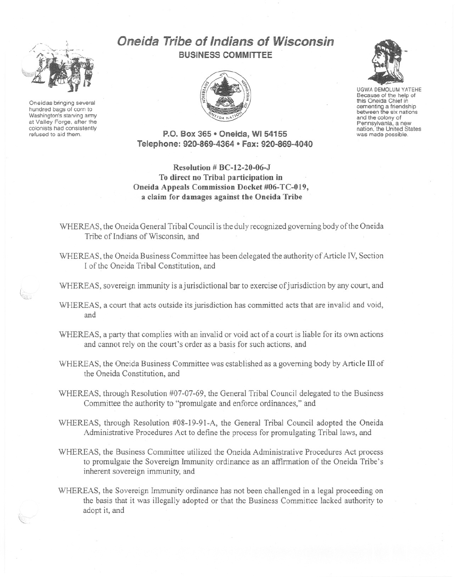

Oneidas bringing several hundred bags of corn to Washington's starving army at Valley Forge. after the colonists had consistently refused to aid them.

## **Oneida Tribe of Indians of Wisconsin BUSINESS COMMITTEE**



UGWA DEMOLUM YATEHE Because of the help of this Oneida Chief in<br>cementing a friendship between the six nations and the colony of<br>Pennsylvania, a new nation, the United States was made possible.

**P.O. Box 365· Oneida,** WI 54155 **Telephone: 920-869-4364· Fax: 920-869-4040**

**Resolution # BC-12-20-06-J To direct no Tribal participation in Oneida Appeals Commission Docket #06-TC-019, a claim for damages against the Oneida Tribe**

WHEREAS, the Oneida General Tribal Council is the duly recognized governing body of the Oneida Tribe of Indians of Wisconsin, and

WHEREAS, the Oneida Business Committee has been delegated the authority of Article IV, Section I of the Oneida Tribal Constitution, and

WHEREAS, sovereign immunity is a jurisdictional bar to exercise of jurisdiction by any court, and

- WHEREAS, a court that acts outside its jurisdiction has committed acts that are invalid and void, and
- WHEREAS, a party that complies with an invalid or void act of a court is liable for its own actions and cannot rely on the court's order as a basis for such actions, and
- WHEREAS, the Oneida Business Committee was established as a governing body by Article III of the Oneida Constitution, and

WHEREAS, through Resolution #07-07-69, the General Tribal Council delegated to the Business Committee the authority to "promulgate and enforce ordinances," and

- WHEREAS, through Resolution #08-19-91-A, the General Tribal Council adopted the Oneida Administrative Procedures Act to define the process for promulgating Tribal laws, and
- WHEREAS, the Business Committee utilized the Oneida Administrative Procedures Act process to promulgate the Sovereign Immunity ordinance as an affirmation of the Oneida Tribe's inherent sovereign immunity, and
- WHEREAS, the Sovereign Immunity ordinance has not been challenged in a legal proceeding on the basis that it was illegally adopted or that the Business Committee lacked authority to adopt it, and